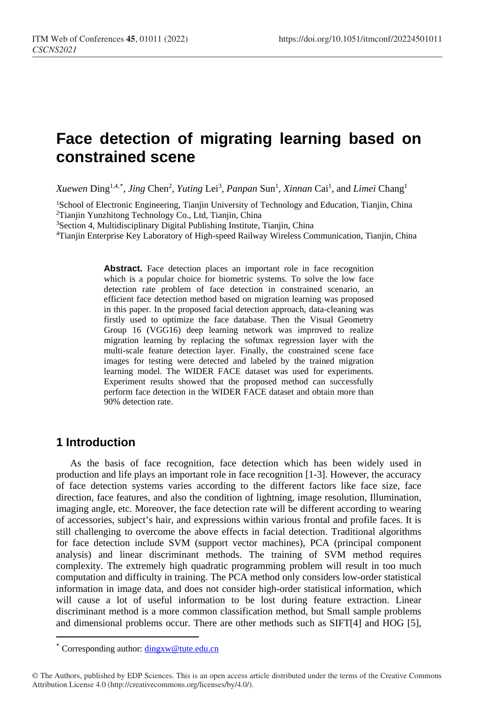# **Face detection of migrating learning based on constrained scene**

*Xuewen* Ding<sup>1,4,[\\*](#page-0-0)</sup>, *Jing Chen<sup>2</sup>*, *Yuting Lei<sup>3</sup>, Panpan Sun<sup>1</sup>, <i>Xinnan Cai<sup>1</sup>, and Limei Chang<sup>1</sup>* 

<sup>1</sup>School of Electronic Engineering, Tianjin University of Technology and Education, Tianjin, China 2Tianjin Yunzhitong Technology Co., Ltd, Tianjin, China

3Section 4, Multidisciplinary Digital Publishing Institute, Tianjin, China

4Tianjin Enterprise Key Laboratory of High-speed Railway Wireless Communication, Tianjin, China

Abstract. Face detection places an important role in face recognition which is a popular choice for biometric systems. To solve the low face detection rate problem of face detection in constrained scenario, an efficient face detection method based on migration learning was proposed in this paper. In the proposed facial detection approach, data-cleaning was firstly used to optimize the face database. Then the Visual Geometry Group 16 (VGG16) deep learning network was improved to realize migration learning by replacing the softmax regression layer with the multi-scale feature detection layer. Finally, the constrained scene face images for testing were detected and labeled by the trained migration learning model. The WIDER FACE dataset was used for experiments. Experiment results showed that the proposed method can successfully perform face detection in the WIDER FACE dataset and obtain more than 90% detection rate.

### **1 Introduction**

 $\overline{a}$ 

As the basis of face recognition, face detection which has been widely used in production and life plays an important role in face recognition [1-3]. However, the accuracy of face detection systems varies according to the different factors like face size, face direction, face features, and also the condition of lightning, image resolution, Illumination, imaging angle, etc. Moreover, the face detection rate will be different according to wearing of accessories, subject's hair, and expressions within various frontal and profile faces. It is still challenging to overcome the above effects in facial detection. Traditional algorithms for face detection include SVM (support vector machines), PCA (principal component analysis) and linear discriminant methods. The training of SVM method requires complexity. The extremely high quadratic programming problem will result in too much computation and difficulty in training. The PCA method only considers low-order statistical information in image data, and does not consider high-order statistical information, which will cause a lot of useful information to be lost during feature extraction. Linear discriminant method is a more common classification method, but Small sample problems and dimensional problems occur. There are other methods such as SIFT[4] and HOG [5],

<sup>\*</sup> Corresponding author: [dingxw@tute.edu.cn](mailto:dingxw@tute.edu.cn)

<span id="page-0-0"></span><sup>©</sup> The Authors, published by EDP Sciences. This is an open access article distributed under the terms of the Creative Commons Attribution License 4.0 (http://creativecommons.org/licenses/by/4.0/).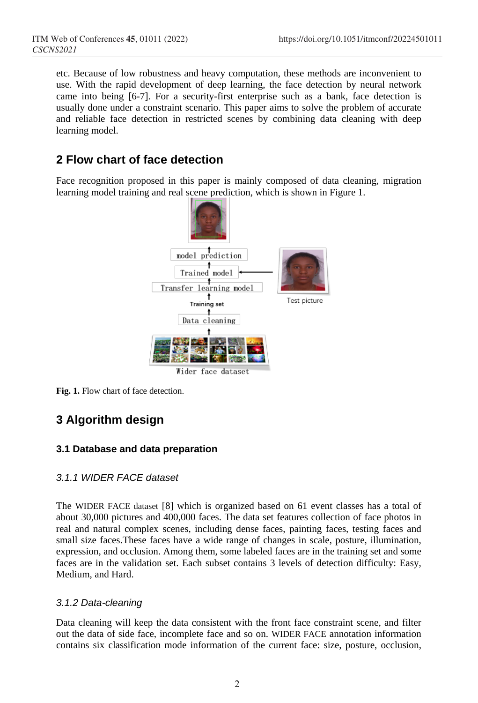etc. Because of low robustness and heavy computation, these methods are inconvenient to use. With the rapid development of deep learning, the face detection by neural network came into being [6-7]. For a security-first enterprise such as a bank, face detection is usually done under a constraint scenario. This paper aims to solve the problem of accurate and reliable face detection in restricted scenes by combining data cleaning with deep learning model.

## **2 Flow chart of face detection**

Face recognition proposed in this paper is mainly composed of data cleaning, migration learning model training and real scene prediction, which is shown in Figure 1.



**Fig. 1.** Flow chart of face detection.

### **3 Algorithm design**

### **3.1 Database and data preparation**

#### *3.1.1 WIDER FACE dataset*

The WIDER FACE dataset [8] which is organized based on 61 event classes has a total of about 30,000 pictures and 400,000 faces. The data set features collection of face photos in real and natural complex scenes, including dense faces, painting faces, testing faces and small size faces.These faces have a wide range of changes in scale, posture, illumination, expression, and occlusion. Among them, some labeled faces are in the training set and some faces are in the validation set. Each subset contains 3 levels of detection difficulty: Easy, Medium, and Hard.

#### *3.1.2 Data-cleaning*

Data cleaning will keep the data consistent with the front face constraint scene, and filter out the data of side face, incomplete face and so on. WIDER FACE annotation information contains six classification mode information of the current face: size, posture, occlusion,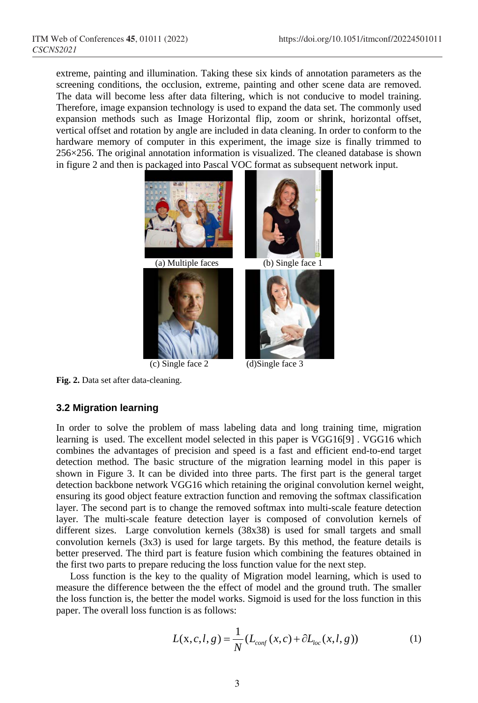extreme, painting and illumination. Taking these six kinds of annotation parameters as the screening conditions, the occlusion, extreme, painting and other scene data are removed. The data will become less after data filtering, which is not conducive to model training. Therefore, image expansion technology is used to expand the data set. The commonly used expansion methods such as Image Horizontal flip, zoom or shrink, horizontal offset, vertical offset and rotation by angle are included in data cleaning. In order to conform to the hardware memory of computer in this experiment, the image size is finally trimmed to 256×256. The original annotation information is visualized. The cleaned database is shown in figure 2 and then is packaged into Pascal VOC format as subsequent network input.



**Fig. 2.** Data set after data-cleaning.

#### **3.2 Migration learning**

In order to solve the problem of mass labeling data and long training time, migration learning is used. The excellent model selected in this paper is VGG16[9] . VGG16 which combines the advantages of precision and speed is a fast and efficient end-to-end target detection method. The basic structure of the migration learning model in this paper is shown in Figure 3. It can be divided into three parts. The first part is the general target detection backbone network VGG16 which retaining the original convolution kernel weight, ensuring its good object feature extraction function and removing the softmax classification layer. The second part is to change the removed softmax into multi-scale feature detection layer. The multi-scale feature detection layer is composed of convolution kernels of different sizes. Large convolution kernels (38x38) is used for small targets and small convolution kernels (3x3) is used for large targets. By this method, the feature details is better preserved. The third part is feature fusion which combining the features obtained in the first two parts to prepare reducing the loss function value for the next step.

Loss function is the key to the quality of Migration model learning, which is used to measure the difference between the the effect of model and the ground truth. The smaller the loss function is, the better the model works. Sigmoid is used for the loss function in this paper. The overall loss function is as follows:

$$
L(x, c, l, g) = \frac{1}{N} (L_{conf}(x, c) + \partial L_{loc}(x, l, g))
$$
 (1)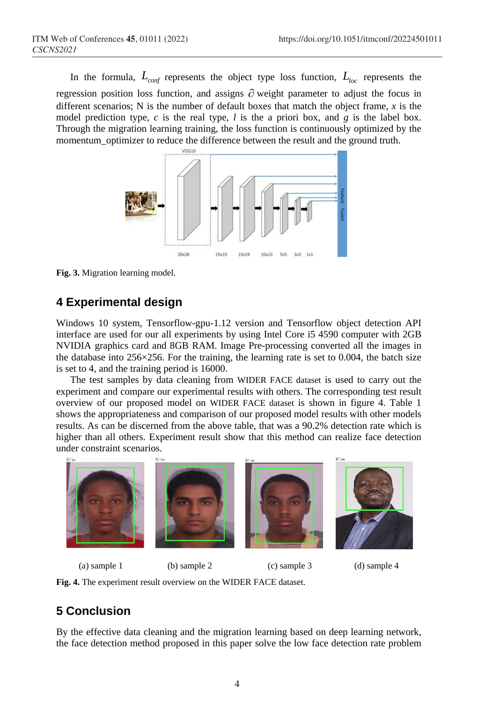In the formula,  $L_{conf}$  represents the object type loss function,  $L_{loc}$  represents the regression position loss function, and assigns ∂ weight parameter to adjust the focus in different scenarios; N is the number of default boxes that match the object frame,  $x$  is the model prediction type, *c* is the real type, *l* is the a priori box, and *g* is the label box. Through the migration learning training, the loss function is continuously optimized by the momentum optimizer to reduce the difference between the result and the ground truth.



**Fig. 3.** Migration learning model.

## **4 Experimental design**

Windows 10 system, Tensorflow-gpu-1.12 version and Tensorflow object detection API interface are used for our all experiments by using Intel Core i5 4590 computer with 2GB NVIDIA graphics card and 8GB RAM. Image Pre-processing converted all the images in the database into  $256 \times 256$ . For the training, the learning rate is set to 0.004, the batch size is set to 4, and the training period is 16000.

The test samples by data cleaning from WIDER FACE dataset is used to carry out the experiment and compare our experimental results with others. The corresponding test result overview of our proposed model on WIDER FACE dataset is shown in figure 4. Table 1 shows the appropriateness and comparison of our proposed model results with other models results. As can be discerned from the above table, that was a 90.2% detection rate which is higher than all others. Experiment result show that this method can realize face detection under constraint scenarios.



**Fig. 4.** The experiment result overview on the WIDER FACE dataset.

# **5 Conclusion**

By the effective data cleaning and the migration learning based on deep learning network, the face detection method proposed in this paper solve the low face detection rate problem